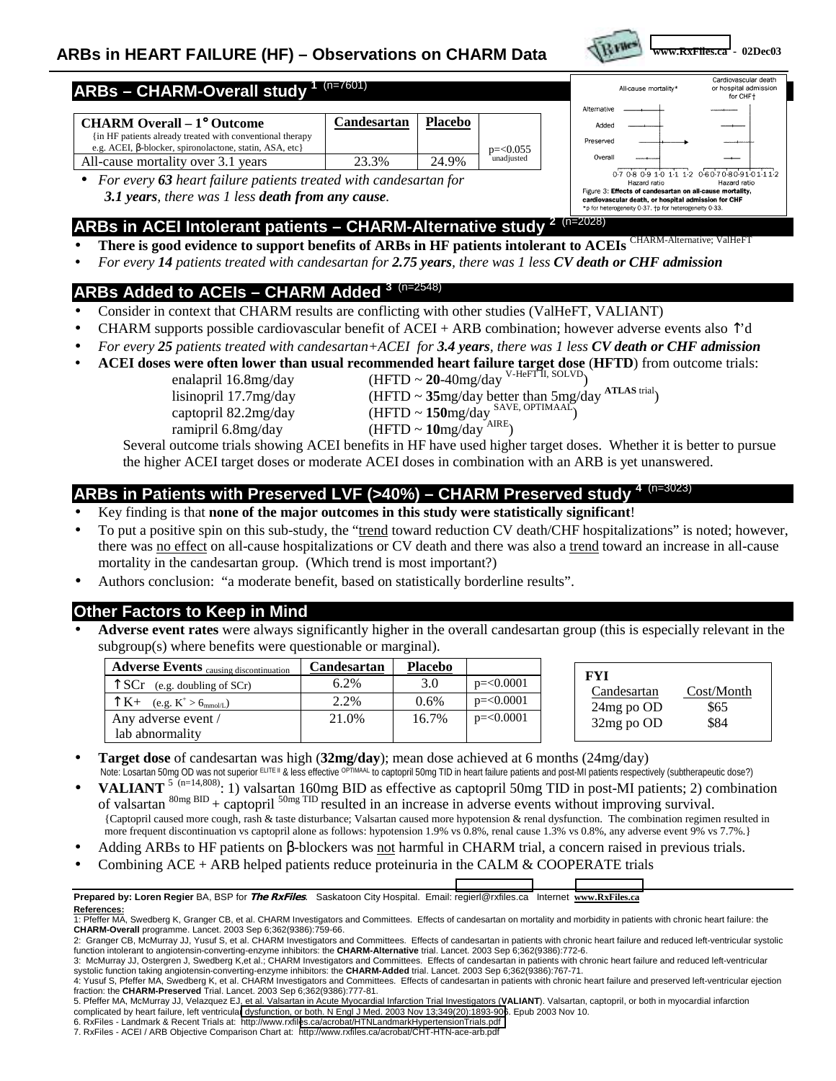

#### Cardiovascular death **ARBs – CHARM-Overall study <sup>1</sup>**(n=7601) All-cause mortality or hospital admission for CHF+ Alternative **CHARM Overall – 1**° **Outcome Candesartan Placebo** Addec {in HF patients already treated with conventional therapy Preserved e.g. ACEI, β-blocker, spironolactone, statin, ASA, etc} p=<0.055 Overall All-cause mortality over 3.1 years 1 23.3% 24.9% unadjusted 07080910111206070809101112 • *For every 63 heart failure patients treated with candesartan for* Hazard ratio Hazard ratio Figure 3: Effects of candesartan on all-cause mortality, *3.1 years, there was 1 less death from any cause.* cardiovascular death, or hospital admission for CHF \*p for heterogeneity 0-37, to for heterogeneity 0-33

# **ARBs in ACEI Intolerant patients – CHARM-Alternative study <sup>2</sup>**(n=2028)

- **There is good evidence to support benefits of ARBs in HF patients intolerant to ACEIs** CHARM-Alternative; ValHeFT
- *For every 14 patients treated with candesartan for 2.75 years, there was 1 less CV death or CHF admission*

## **ARBs Added to ACEIs – CHARM Added <sup>3</sup>**(n=2548)

- Consider in context that CHARM results are conflicting with other studies (ValHeFT, VALIANT)
- CHARM supports possible cardiovascular benefit of ACEI + ARB combination; however adverse events also  $\uparrow$ 'd
- *For every 25 patients treated with candesartan+ACEI for 3.4 years, there was 1 less CV death or CHF admission*
- **ACEI doses were often lower than usual recommended heart failure target dose** (**HFTD**) from outcome trials:
	- enalapril 16.8mg/day (HFTD ~ **20**-40mg/day <sup>V-HeFT II</sup>, SOLVD)
		- captopril 82.2mg/day (HFTD ~ **150**mg/day SAVE, OPTIMAAL) captopril 82.2mg/day (HFTD ~ **150**mg/day <br>ramipril 6.8mg/day (HFTD ~ **10**mg/day <sup>AIRE</sup>)
- 
- lisinopril 17.7mg/day (HFTD ~ **35**mg/day better than 5mg/day **ATLAS** trial)
	-
	-

Several outcome trials showing ACEI benefits in HF have used higher target doses. Whether it is better to pursue the higher ACEI target doses or moderate ACEI doses in combination with an ARB is yet unanswered.

## ARBs in Patients with Preserved LVF (>40%) – CHARM Preserved study

- Key finding is that **none of the major outcomes in this study were statistically significant**!
- To put a positive spin on this sub-study, the "trend toward reduction CV death/CHF hospitalizations" is noted; however, there was no effect on all-cause hospitalizations or CV death and there was also a trend toward an increase in all-cause mortality in the candesartan group. (Which trend is most important?)
- Authors conclusion: "a moderate benefit, based on statistically borderline results".

### **Other Factors to Keep in Mind**

• **Adverse event rates** were always significantly higher in the overall candesartan group (this is especially relevant in the subgroup(s) where benefits were questionable or marginal).

| <b>Adverse Events</b> causing discontinuation     | Candesartan | <b>Placebo</b> |              |
|---------------------------------------------------|-------------|----------------|--------------|
| $\uparrow$ SCr (e.g. doubling of SCr)             | 6.2%        | 3.0            | $p = 0.0001$ |
| $\uparrow K+$ (e.g. $K^+ > 6$ <sub>mmol/L</sub> ) | 2.2%        | 0.6%           | $p = 0.0001$ |
| Any adverse event /                               | 21.0%       | 16.7%          | $p = 0.0001$ |
| lab abnormality                                   |             |                |              |

| FYI         |            |
|-------------|------------|
| Candesartan | Cost/Month |
| 24mg po OD  | \$65       |
| 32mg po OD  | \$84       |
|             |            |

- **Target dose** of candesartan was high (**32mg/day**); mean dose achieved at 6 months (24mg/day) Note: Losartan 50mg OD was not superior ELITE II & less effective OPTIMAAL to captopril 50mg TID in heart failure patients and post-MI patients respectively (subtherapeutic dose?)
- **VALIANT**<sup>5 (n=14,808)</sup>: 1) valsartan 160mg BID as effective as captopril 50mg TID in post-MI patients; 2) combination of valsartan  ${}^{80mg}$  BID + captopril  ${}^{50mg}$  TID resulted in an increase in adverse events without improving survival. {Captopril caused more cough, rash & taste disturbance; Valsartan caused more hypotension & renal dysfunction. The combination regimen resulted in more frequent discontinuation vs captopril alone as follows: hypotension 1.9% vs 0.8%, renal cause 1.3% vs 0.8%, any adverse event 9% vs 7.7%.}
- Adding ARBs to HF patients on  $\beta$ -blockers was not harmful in CHARM trial, a concern raised in previous trials.
- Combining  $ACE + ARB$  helped patients reduce proteinuria in the CALM & COOPERATE trials

#### **Prepared by: Loren Regier** BA, BSP for **The RxFiles**.Saskatoon City Hospital. Email: regierl@rxfiles.ca Internet **www.RxFiles.ca References:**

- 2: Granger CB, McMurray JJ, Yusuf S, et al. CHARM Investigators and Committees. Effects of candesartan in patients with chronic heart failure and reduced left-ventricular systolic function intolerant to angiotensin-converting-enzyme inhibitors: the **CHARM-Alternative** trial. Lancet. 2003 Sep 6;362(9386):772-6.
- 3: McMurray JJ, Ostergren J, Swedberg K,et al.; CHARM Investigators and Committees. Effects of candesartan in patients with chronic heart failure and reduced left-ventricular<br>systolic function taking angiotensin-converting

6. RxFiles - Landmark & Recent Trials at: http://www.rxfil[es.ca/acrobat/HTNLandmarkHypertensionTrials.pdf](#page-1-0) 7. RxFiles - ACEI / ARB Objective Comparison Chart at: http://www.rxfiles.ca/acrobat/CHT-HTN-ace-arb.pdf

<sup>1:</sup> Pfeffer MA, Swedberg K, Granger CB, et al. CHARM Investigators and Committees. Effects of candesartan on mortality and morbidity in patients with chronic heart failure: the **CHARM-Overall** programme. Lancet. 2003 Sep 6;362(9386):759-66.

<sup>4:</sup> Yusuf S, Pfeffer MA, Swedberg K, et al. CHARM Investigators and Committees. Effects of candesartan in patients with chronic heart failure and preserved left-ventricular ejection fraction: the **CHARM-Preserved** Trial. Lancet. 2003 Sep 6;362(9386):777-81.

<sup>5.</sup> Pfeffer MA, McMurray JJ, Velazquez EJ, et al. Valsartan in Acute Myocardial Infarction Trial Investigators (**VALIANT**). Valsartan, captopril, or both in myocardial infarction complicated by heart failure, left ventricula[r dysfunction, or both. N Engl J Med. 2003 Nov 13;349\(20\):1893-906](http://www.rxfiles.ca/acrobat/HTNLandmarkHypertensionTrials.pdf). Epub 2003 Nov 10.